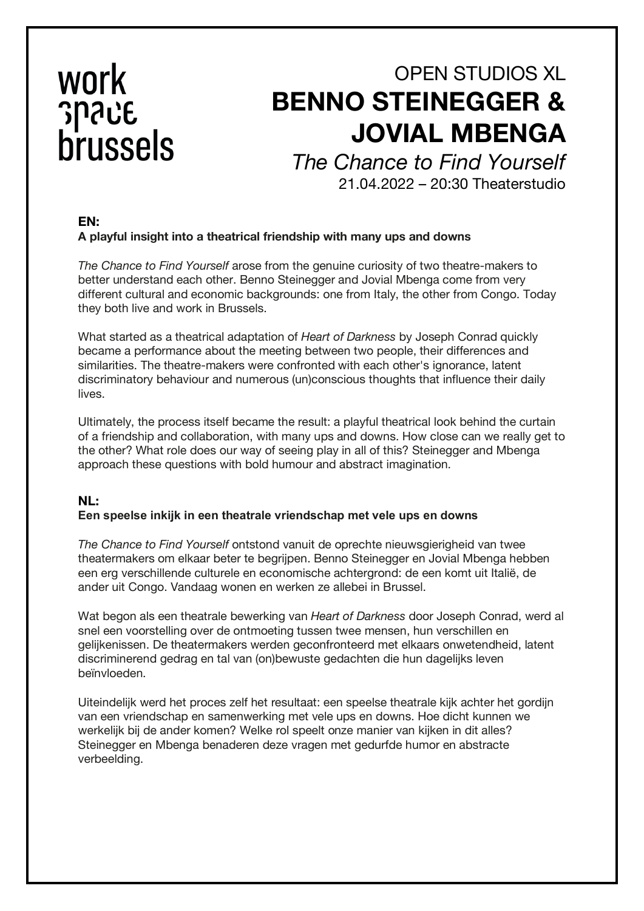# work **Shure** brussels

# OPEN STUDIOS XL **BENNO STEINEGGER & JOVIAL MBENGA**

*The Chance to Find Yourself*

21.04.2022 – 20:30 Theaterstudio

## **EN: A playful insight into a theatrical friendship with many ups and downs**

*The Chance to Find Yourself* arose from the genuine curiosity of two theatre-makers to better understand each other. Benno Steinegger and Jovial Mbenga come from very different cultural and economic backgrounds: one from Italy, the other from Congo. Today they both live and work in Brussels.

What started as a theatrical adaptation of *Heart of Darkness* by Joseph Conrad quickly became a performance about the meeting between two people, their differences and similarities. The theatre-makers were confronted with each other's ignorance, latent discriminatory behaviour and numerous (un)conscious thoughts that influence their daily lives.

Ultimately, the process itself became the result: a playful theatrical look behind the curtain of a friendship and collaboration, with many ups and downs. How close can we really get to the other? What role does our way of seeing play in all of this? Steinegger and Mbenga approach these questions with bold humour and abstract imagination.

### **NL: Een speelse inkijk in een theatrale vriendschap met vele ups en downs**

*The Chance to Find Yourself* ontstond vanuit de oprechte nieuwsgierigheid van twee theatermakers om elkaar beter te begrijpen. Benno Steinegger en Jovial Mbenga hebben een erg verschillende culturele en economische achtergrond: de een komt uit Italië, de ander uit Congo. Vandaag wonen en werken ze allebei in Brussel.

Wat begon als een theatrale bewerking van *Heart of Darkness* door Joseph Conrad, werd al snel een voorstelling over de ontmoeting tussen twee mensen, hun verschillen en gelijkenissen. De theatermakers werden geconfronteerd met elkaars onwetendheid, latent discriminerend gedrag en tal van (on)bewuste gedachten die hun dagelijks leven beïnvloeden.

Uiteindelijk werd het proces zelf het resultaat: een speelse theatrale kijk achter het gordijn van een vriendschap en samenwerking met vele ups en downs. Hoe dicht kunnen we werkelijk bij de ander komen? Welke rol speelt onze manier van kijken in dit alles? Steinegger en Mbenga benaderen deze vragen met gedurfde humor en abstracte verbeelding.